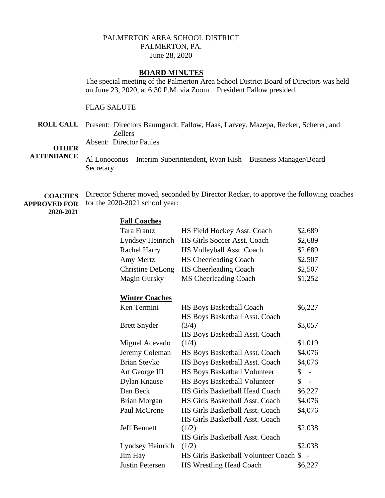## PALMERTON AREA SCHOOL DISTRICT PALMERTON, PA. June 28, 2020

# **BOARD MINUTES**

The special meeting of the Palmerton Area School District Board of Directors was held on June 23, 2020, at 6:30 P.M. via Zoom. President Fallow presided.

FLAG SALUTE

**ROLL CALL** Present: Directors Baumgardt, Fallow, Haas, Larvey, Mazepa, Recker, Scherer, and Zellers

Absent: Director Paules

#### **OTHER ATTENDANCE**

Al Lonoconus – Interim Superintendent, Ryan Kish – Business Manager/Board Secretary

**COACHES APPROVED FOR**  Director Scherer moved, seconded by Director Recker, to approve the following coaches for the 2020-2021 school year:

## **2020-2021**

| <b>Fall Coaches</b>     |                                        |                      |
|-------------------------|----------------------------------------|----------------------|
| <b>Tara Frantz</b>      | HS Field Hockey Asst. Coach            | \$2,689              |
| Lyndsey Heinrich        | HS Girls Soccer Asst. Coach            | \$2,689              |
| Rachel Harry            | HS Volleyball Asst. Coach              | \$2,689              |
| Amy Mertz               | <b>HS Cheerleading Coach</b>           | \$2,507              |
| <b>Christine DeLong</b> | HS Cheerleading Coach                  | \$2,507              |
| <b>Magin Gursky</b>     | MS Cheerleading Coach                  | \$1,252              |
| <b>Winter Coaches</b>   |                                        |                      |
| Ken Termini             | HS Boys Basketball Coach               | \$6,227              |
|                         | HS Boys Basketball Asst. Coach         |                      |
| <b>Brett Snyder</b>     | (3/4)                                  | \$3,057              |
|                         | HS Boys Basketball Asst. Coach         |                      |
| Miguel Acevado          | (1/4)                                  | \$1,019              |
| Jeremy Coleman          | HS Boys Basketball Asst. Coach         | \$4,076              |
| <b>Brian Stevko</b>     | HS Boys Basketball Asst. Coach         | \$4,076              |
| Art George III          | <b>HS Boys Basketball Volunteer</b>    | \$<br>$\overline{a}$ |
| <b>Dylan Knause</b>     | <b>HS Boys Basketball Volunteer</b>    | \$<br>$\overline{a}$ |
| Dan Beck                | <b>HS Girls Basketball Head Coach</b>  | \$6,227              |
| <b>Brian Morgan</b>     | HS Girls Basketball Asst. Coach        | \$4,076              |
| Paul McCrone            | HS Girls Basketball Asst. Coach        | \$4,076              |
|                         | HS Girls Basketball Asst. Coach        |                      |
| <b>Jeff Bennett</b>     | (1/2)                                  | \$2,038              |
|                         | HS Girls Basketball Asst. Coach        |                      |
| Lyndsey Heinrich        | (1/2)                                  | \$2,038              |
| Jim Hay                 | HS Girls Basketball Volunteer Coach \$ |                      |
| <b>Justin Petersen</b>  | HS Wrestling Head Coach                | \$6,227              |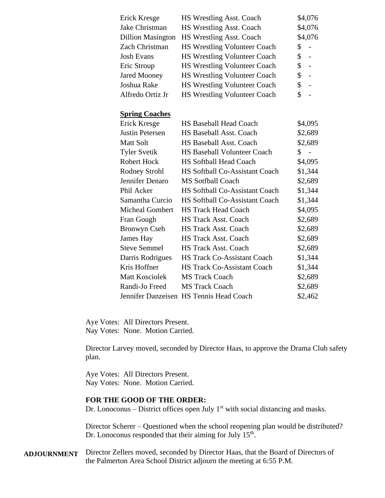| Erick Kresge             | <b>HS Wrestling Asst. Coach</b>       | \$4,076              |
|--------------------------|---------------------------------------|----------------------|
| Jake Christman           | HS Wrestling Asst. Coach              | \$4,076              |
| <b>Dillion Masington</b> | HS Wrestling Asst. Coach              | \$4,076              |
| Zach Christman           | <b>HS Wrestling Volunteer Coach</b>   | \$                   |
| <b>Josh Evans</b>        | HS Wrestling Volunteer Coach          | \$                   |
| Eric Stroup              | HS Wrestling Volunteer Coach          | \$<br>$\frac{1}{2}$  |
| <b>Jared Mooney</b>      | HS Wrestling Volunteer Coach          | \$<br>$\frac{1}{2}$  |
| Joshua Rake              | <b>HS Wrestling Volunteer Coach</b>   | \$<br>$\overline{a}$ |
| Alfredo Ortiz Jr         | HS Wrestling Volunteer Coach          | \$                   |
| <b>Spring Coaches</b>    |                                       |                      |
| Erick Kresge             | <b>HS Baseball Head Coach</b>         | \$4,095              |
| <b>Justin Petersen</b>   | HS Baseball Asst. Coach               | \$2,689              |
| <b>Matt Solt</b>         | HS Baseball Asst. Coach               | \$2,689              |
| <b>Tyler Svetik</b>      | <b>HS Baseball Volunteer Coach</b>    | \$                   |
| <b>Robert Hock</b>       | <b>HS Softball Head Coach</b>         | \$4,095              |
| <b>Rodney Strohl</b>     | HS Softball Co-Assistant Coach        | \$1,344              |
| Jennifer Denaro          | <b>MS Sotfball Coach</b>              | \$2,689              |
| Phil Acker               | <b>HS Softball Co-Assistant Coach</b> | \$1,344              |
| Samantha Curcio          | HS Softball Co-Assistant Coach        | \$1,344              |
| <b>Micheal Gombert</b>   | <b>HS Track Head Coach</b>            | \$4,095              |
| Fran Gough               | <b>HS Track Asst. Coach</b>           | \$2,689              |
| <b>Bronwyn Cseh</b>      | <b>HS Track Asst. Coach</b>           | \$2,689              |
| James Hay                | <b>HS Track Asst. Coach</b>           | \$2,689              |
| <b>Steve Semmel</b>      | <b>HS Track Asst. Coach</b>           | \$2,689              |
| Darris Rodrigues         | <b>HS Track Co-Assistant Coach</b>    | \$1,344              |
| Kris Hoffner             | <b>HS Track Co-Assistant Coach</b>    | \$1,344              |
| <b>Matt Kosciolek</b>    | <b>MS Track Coach</b>                 | \$2,689              |
| Randi-Jo Freed           | <b>MS Track Coach</b>                 | \$2,689              |
| Jennifer Danzeisen       | <b>HS Tennis Head Coach</b>           | \$2,462              |

Aye Votes: All Directors Present. Nay Votes: None. Motion Carried.

Director Larvey moved, seconded by Director Haas, to approve the Drama Club safety plan.

Aye Votes: All Directors Present. Nay Votes: None. Motion Carried.

## **FOR THE GOOD OF THE ORDER:**

Dr. Lonoconus – District offices open July  $1<sup>st</sup>$  with social distancing and masks.

Director Scherer – Questioned when the school reopening plan would be distributed? Dr. Lonoconus responded that their aiming for July  $15<sup>th</sup>$ .

**ADJOURNMENT** Director Zellers moved, seconded by Director Haas, that the Board of Directors of the Palmerton Area School District adjourn the meeting at 6:55 P.M.